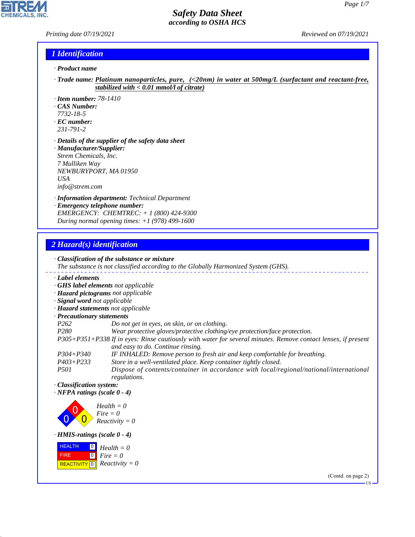#### *Printing date 07/19/2021 Reviewed on 07/19/2021*

H

**CHEMICALS, INC.** 

## *1 Identification*

- *· Product name*
- *· Trade name: Platinum nanoparticles, pure, (<20nm) in water at 500mg/L (surfactant and reactant-free, stabilized with < 0.01 mmol/l of citrate)*
- *· Item number: 78-1410*
- *· CAS Number:*
- *7732-18-5*
- *· EC number: 231-791-2*
- *· Details of the supplier of the safety data sheet*
- *· Manufacturer/Supplier: Strem Chemicals, Inc. 7 Mulliken Way NEWBURYPORT, MA 01950 USA info@strem.com*
- *· Information department: Technical Department*
- *· Emergency telephone number: EMERGENCY: CHEMTREC: + 1 (800) 424-9300 During normal opening times: +1 (978) 499-1600*

# *2 Hazard(s) identification*

44.1.1

|                                                                | · Classification of the substance or mixture<br>The substance is not classified according to the Globally Harmonized System (GHS).                 |
|----------------------------------------------------------------|----------------------------------------------------------------------------------------------------------------------------------------------------|
| · Label elements                                               |                                                                                                                                                    |
|                                                                | · GHS label elements not applicable                                                                                                                |
|                                                                | · Hazard pictograms not applicable                                                                                                                 |
| · Signal word not applicable                                   |                                                                                                                                                    |
| · Hazard statements not applicable                             |                                                                                                                                                    |
| · Precautionary statements                                     |                                                                                                                                                    |
| P <sub>262</sub>                                               | Do not get in eyes, on skin, or on clothing.                                                                                                       |
| P <sub>280</sub>                                               | Wear protective gloves/protective clothing/eye protection/face protection.                                                                         |
|                                                                | P305+P351+P338 If in eyes: Rinse cautiously with water for several minutes. Remove contact lenses, if present<br>and easy to do. Continue rinsing. |
| $P304 + P340$                                                  | IF INHALED: Remove person to fresh air and keep comfortable for breathing.                                                                         |
| $P403 + P233$                                                  | Store in a well-ventilated place. Keep container tightly closed.                                                                                   |
| <i>P501</i>                                                    | Dispose of contents/container in accordance with local/regional/national/international<br>regulations.                                             |
| · Classification system:<br>$\cdot$ NFPA ratings (scale 0 - 4) |                                                                                                                                                    |
|                                                                | $Health = 0$<br>$Fire = 0$<br>$Reactivity = 0$                                                                                                     |
| $\cdot$ HMIS-ratings (scale 0 - 4)                             |                                                                                                                                                    |
| <b>HEALTH</b><br>$\boxed{0}$                                   | $Health = 0$                                                                                                                                       |
| $\overline{0}$<br><b>FIRE</b>                                  | $Fire = 0$                                                                                                                                         |
| <b>REACTIVITY</b> 0                                            | $Reactivity = 0$                                                                                                                                   |
|                                                                | $(0.011)$ $(0.011)$                                                                                                                                |

(Contd. on page 2)

US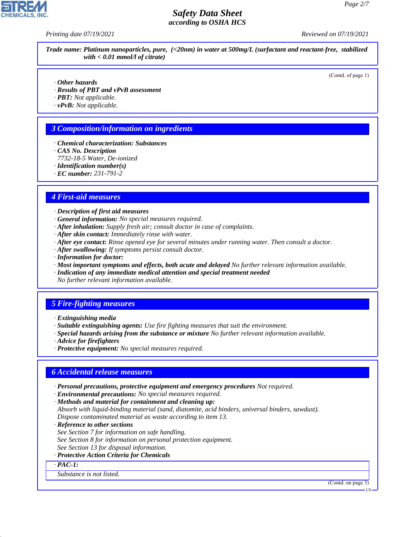*Printing date 07/19/2021 Reviewed on 07/19/2021*

*Trade name: Platinum nanoparticles, pure, (<20nm) in water at 500mg/L (surfactant and reactant-free, stabilized with < 0.01 mmol/l of citrate)*

(Contd. of page 1)

- *· Other hazards*
- *· Results of PBT and vPvB assessment*
- *· PBT: Not applicable.*
- *· vPvB: Not applicable.*

## *3 Composition/information on ingredients*

- *· Chemical characterization: Substances*
- *· CAS No. Description*
- *7732-18-5 Water, De-ionized*
- *· Identification number(s)*
- *· EC number: 231-791-2*

## *4 First-aid measures*

- *· Description of first aid measures*
- *· General information: No special measures required.*
- *· After inhalation: Supply fresh air; consult doctor in case of complaints.*
- *· After skin contact: Immediately rinse with water.*
- *· After eye contact: Rinse opened eye for several minutes under running water. Then consult a doctor.*
- *· After swallowing: If symptoms persist consult doctor.*
- *· Information for doctor:*
- *· Most important symptoms and effects, both acute and delayed No further relevant information available.*
- *· Indication of any immediate medical attention and special treatment needed No further relevant information available.*

# *5 Fire-fighting measures*

- *· Extinguishing media*
- *· Suitable extinguishing agents: Use fire fighting measures that suit the environment.*
- *· Special hazards arising from the substance or mixture No further relevant information available.*
- *· Advice for firefighters*
- *· Protective equipment: No special measures required.*

### *6 Accidental release measures*

- *· Personal precautions, protective equipment and emergency procedures Not required.*
- *· Environmental precautions: No special measures required.*
- *· Methods and material for containment and cleaning up:*
- *Absorb with liquid-binding material (sand, diatomite, acid binders, universal binders, sawdust). Dispose contaminated material as waste according to item 13.*
- *· Reference to other sections*
- *See Section 7 for information on safe handling.*
- *See Section 8 for information on personal protection equipment.*
- *See Section 13 for disposal information.*
- *· Protective Action Criteria for Chemicals*
- *· PAC-1:*

44.1.1

*Substance is not listed.*

(Contd. on page 3)

US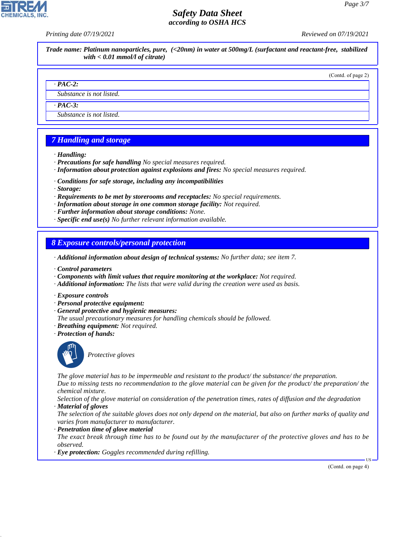*Printing date 07/19/2021 Reviewed on 07/19/2021*

*Trade name: Platinum nanoparticles, pure, (<20nm) in water at 500mg/L (surfactant and reactant-free, stabilized with < 0.01 mmol/l of citrate)*

(Contd. of page 2)

#### *· PAC-2:*

*Substance is not listed.*

*· PAC-3:*

*Substance is not listed.*

# *7 Handling and storage*

- *· Handling:*
- *· Precautions for safe handling No special measures required.*
- *· Information about protection against explosions and fires: No special measures required.*
- *· Conditions for safe storage, including any incompatibilities*
- *· Storage:*
- *· Requirements to be met by storerooms and receptacles: No special requirements.*
- *· Information about storage in one common storage facility: Not required.*
- *· Further information about storage conditions: None.*
- *· Specific end use(s) No further relevant information available.*

*8 Exposure controls/personal protection*

*· Additional information about design of technical systems: No further data; see item 7.*

- *· Control parameters*
- *· Components with limit values that require monitoring at the workplace: Not required.*
- *· Additional information: The lists that were valid during the creation were used as basis.*
- *· Exposure controls*
- *· Personal protective equipment:*
- *· General protective and hygienic measures:*
- *The usual precautionary measures for handling chemicals should be followed.*
- *· Breathing equipment: Not required.*
- *· Protection of hands:*



44.1.1

\_S*Protective gloves*

*The glove material has to be impermeable and resistant to the product/ the substance/ the preparation.*

*Due to missing tests no recommendation to the glove material can be given for the product/ the preparation/ the chemical mixture.*

*Selection of the glove material on consideration of the penetration times, rates of diffusion and the degradation · Material of gloves*

*The selection of the suitable gloves does not only depend on the material, but also on further marks of quality and varies from manufacturer to manufacturer.*

*· Penetration time of glove material*

*The exact break through time has to be found out by the manufacturer of the protective gloves and has to be observed.*

*· Eye protection: Goggles recommended during refilling.*

(Contd. on page 4)

US

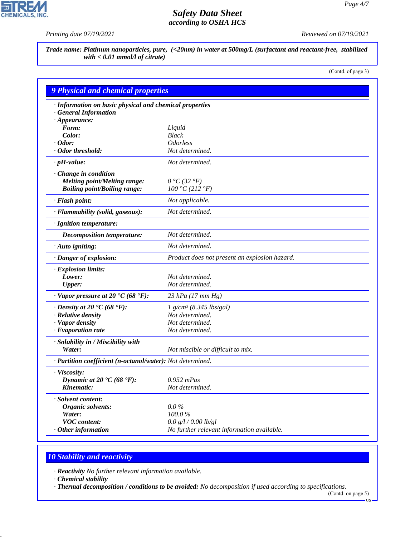P

**CHEMICALS, INC.** 

*Printing date 07/19/2021 Reviewed on 07/19/2021*

*Trade name: Platinum nanoparticles, pure, (<20nm) in water at 500mg/L (surfactant and reactant-free, stabilized with < 0.01 mmol/l of citrate)*

(Contd. of page 3)

| <b>9 Physical and chemical properties</b>                                                           |                                               |
|-----------------------------------------------------------------------------------------------------|-----------------------------------------------|
| · Information on basic physical and chemical properties<br><b>General Information</b>               |                                               |
| $\cdot$ Appearance:                                                                                 |                                               |
| Form:<br>Color:                                                                                     | Liquid<br><b>Black</b>                        |
| $\cdot$ Odor:                                                                                       | <b>Odorless</b>                               |
| · Odor threshold:                                                                                   | Not determined.                               |
| $\cdot$ pH-value:                                                                                   | Not determined.                               |
|                                                                                                     |                                               |
| · Change in condition<br><b>Melting point/Melting range:</b><br><b>Boiling point/Boiling range:</b> | $0 °C$ (32 $°F$ )<br>100 °C (212 °F)          |
| · Flash point:                                                                                      | Not applicable.                               |
| · Flammability (solid, gaseous):                                                                    | Not determined.                               |
| · Ignition temperature:                                                                             |                                               |
| <b>Decomposition temperature:</b>                                                                   | Not determined.                               |
| · Auto igniting:                                                                                    | Not determined.                               |
| · Danger of explosion:                                                                              | Product does not present an explosion hazard. |
| · Explosion limits:                                                                                 |                                               |
| Lower:                                                                                              | Not determined.                               |
| <b>Upper:</b>                                                                                       | Not determined.                               |
| $\cdot$ Vapor pressure at 20 °C (68 °F):                                                            | 23 hPa $(17 \, \text{mm Hg})$                 |
| $\cdot$ Density at 20 $\textdegree$ C (68 $\textdegree$ F):                                         | $1 g/cm^3 (8.345 lbs/gal)$                    |
| · Relative density                                                                                  | Not determined.                               |
| · Vapor density                                                                                     | Not determined.                               |
| $\cdot$ Evaporation rate                                                                            | Not determined.                               |
| · Solubility in / Miscibility with<br>Water:                                                        | Not miscible or difficult to mix.             |
| · Partition coefficient (n-octanol/water): Not determined.                                          |                                               |
| · Viscosity:                                                                                        |                                               |
| Dynamic at 20 $\textdegree$ C (68 $\textdegree$ F):                                                 | $0.952$ mPas                                  |
| Kinematic:                                                                                          | Not determined.                               |
| · Solvent content:                                                                                  |                                               |
| Organic solvents:                                                                                   | $0.0\%$                                       |
| Water:                                                                                              | 100.0%                                        |
| <b>VOC</b> content:                                                                                 | 0.0 g/l / 0.00 lb/gl                          |
| $\cdot$ Other information                                                                           | No further relevant information available.    |

# *10 Stability and reactivity*

*· Reactivity No further relevant information available.*

*· Chemical stability*

44.1.1

*· Thermal decomposition / conditions to be avoided: No decomposition if used according to specifications.*

(Contd. on page 5) US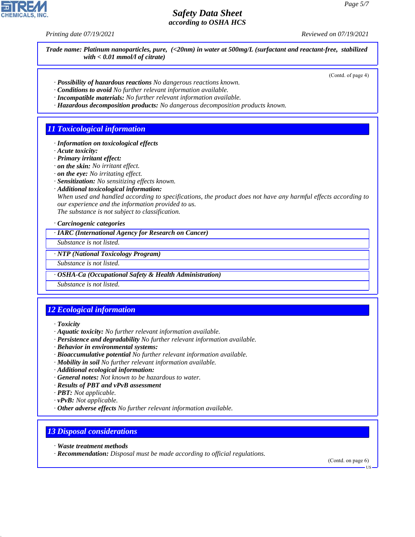*Printing date 07/19/2021 Reviewed on 07/19/2021*

*Trade name: Platinum nanoparticles, pure, (<20nm) in water at 500mg/L (surfactant and reactant-free, stabilized with < 0.01 mmol/l of citrate)*

(Contd. of page 4)

- *· Possibility of hazardous reactions No dangerous reactions known.*
- *· Conditions to avoid No further relevant information available.*
- *· Incompatible materials: No further relevant information available.*
- *· Hazardous decomposition products: No dangerous decomposition products known.*

### *11 Toxicological information*

- *· Information on toxicological effects*
- *· Acute toxicity:*
- *· Primary irritant effect:*
- *· on the skin: No irritant effect.*
- *· on the eye: No irritating effect.*
- *· Sensitization: No sensitizing effects known.*
- *· Additional toxicological information:*

*When used and handled according to specifications, the product does not have any harmful effects according to our experience and the information provided to us. The substance is not subject to classification.*

*· Carcinogenic categories*

*· IARC (International Agency for Research on Cancer)*

*Substance is not listed.*

*· NTP (National Toxicology Program)*

*Substance is not listed.*

*· OSHA-Ca (Occupational Safety & Health Administration)*

*Substance is not listed.*

# *12 Ecological information*

*· Toxicity*

- *· Aquatic toxicity: No further relevant information available.*
- *· Persistence and degradability No further relevant information available.*
- *· Behavior in environmental systems:*
- *· Bioaccumulative potential No further relevant information available.*
- *· Mobility in soil No further relevant information available.*
- *· Additional ecological information:*
- *· General notes: Not known to be hazardous to water.*
- *· Results of PBT and vPvB assessment*
- *· PBT: Not applicable.*
- *· vPvB: Not applicable.*
- *· Other adverse effects No further relevant information available.*

### *13 Disposal considerations*

*· Waste treatment methods*

44.1.1

*· Recommendation: Disposal must be made according to official regulations.*

(Contd. on page 6)

US

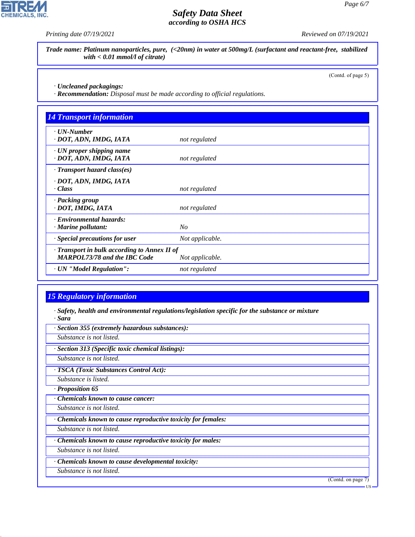**CHEMICALS, INC.** 

*Printing date 07/19/2021 Reviewed on 07/19/2021*

*Trade name: Platinum nanoparticles, pure, (<20nm) in water at 500mg/L (surfactant and reactant-free, stabilized with < 0.01 mmol/l of citrate)*

(Contd. of page 5)

*· Uncleaned packagings:*

*· Recommendation: Disposal must be made according to official regulations.*

| <b>14 Transport information</b>                                                     |                 |
|-------------------------------------------------------------------------------------|-----------------|
| $\cdot$ UN-Number<br>· DOT, ADN, IMDG, IATA                                         | not regulated   |
| $\cdot$ UN proper shipping name                                                     |                 |
| · DOT, ADN, IMDG, IATA                                                              | not regulated   |
| $\cdot$ Transport hazard class(es)                                                  |                 |
| · DOT, ADN, IMDG, IATA<br>· Class                                                   | not regulated   |
| · Packing group<br>· DOT, IMDG, IATA                                                | not regulated   |
| · Environmental hazards:<br>$\cdot$ Marine pollutant:                               | $N_{O}$         |
| · Special precautions for user                                                      | Not applicable. |
| · Transport in bulk according to Annex II of<br><b>MARPOL73/78 and the IBC Code</b> | Not applicable. |
| · UN "Model Regulation":                                                            | not regulated   |

# *15 Regulatory information*

44.1.1

*· Safety, health and environmental regulations/legislation specific for the substance or mixture · Sara*

*· Section 355 (extremely hazardous substances): Substance is not listed. · Section 313 (Specific toxic chemical listings): Substance is not listed. · TSCA (Toxic Substances Control Act): Substance is listed. · Proposition 65 · Chemicals known to cause cancer: Substance is not listed. · Chemicals known to cause reproductive toxicity for females: Substance is not listed. · Chemicals known to cause reproductive toxicity for males: Substance is not listed. · Chemicals known to cause developmental toxicity: Substance is not listed.* (Contd. on page 7) US